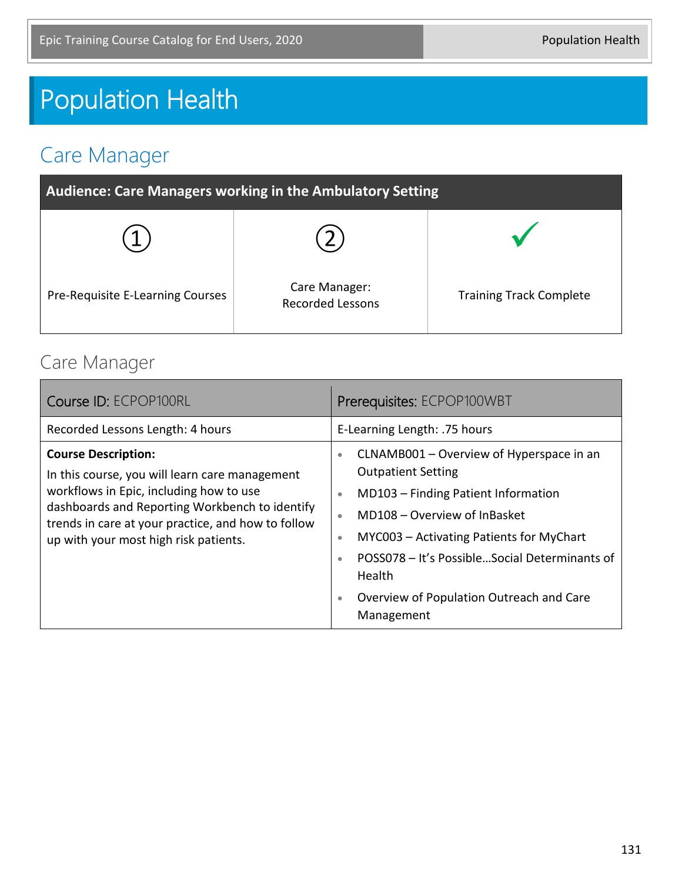# Population Health

### Care Manager

| Audience: Care Managers working in the Ambulatory Setting |                                          |                                |
|-----------------------------------------------------------|------------------------------------------|--------------------------------|
|                                                           |                                          |                                |
| Pre-Requisite E-Learning Courses                          | Care Manager:<br><b>Recorded Lessons</b> | <b>Training Track Complete</b> |

#### Care Manager

| Course ID: ECPOP100RL                                                                                                                                                                                                                                                    | Prerequisites: ECPOP100WBT                                                                                                                                                                                                                                                                                                                                                                  |
|--------------------------------------------------------------------------------------------------------------------------------------------------------------------------------------------------------------------------------------------------------------------------|---------------------------------------------------------------------------------------------------------------------------------------------------------------------------------------------------------------------------------------------------------------------------------------------------------------------------------------------------------------------------------------------|
| Recorded Lessons Length: 4 hours                                                                                                                                                                                                                                         | E-Learning Length: .75 hours                                                                                                                                                                                                                                                                                                                                                                |
| <b>Course Description:</b><br>In this course, you will learn care management<br>workflows in Epic, including how to use<br>dashboards and Reporting Workbench to identify<br>trends in care at your practice, and how to follow<br>up with your most high risk patients. | CLNAMB001 – Overview of Hyperspace in an<br>$\bullet$<br><b>Outpatient Setting</b><br>MD103 - Finding Patient Information<br>$\bullet$<br>MD108 – Overview of InBasket<br>$\bullet$<br>MYC003 - Activating Patients for MyChart<br>$\bullet$<br>POSS078 - It's PossibleSocial Determinants of<br>$\bullet$<br>Health<br>Overview of Population Outreach and Care<br>$\bullet$<br>Management |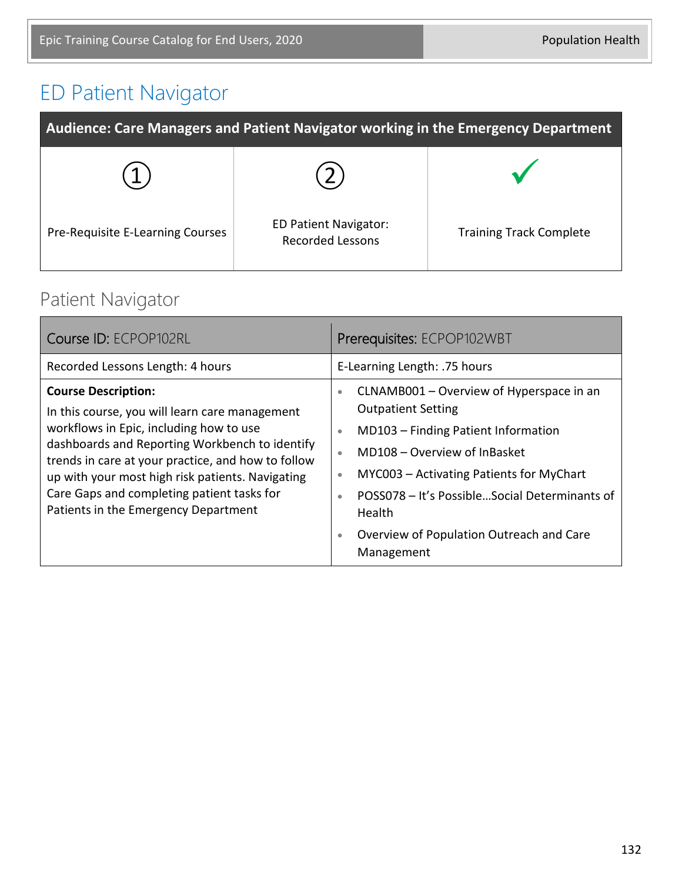## ED Patient Navigator

| Audience: Care Managers and Patient Navigator working in the Emergency Department |                                                         |                                |
|-----------------------------------------------------------------------------------|---------------------------------------------------------|--------------------------------|
|                                                                                   |                                                         |                                |
| Pre-Requisite E-Learning Courses                                                  | <b>ED Patient Navigator:</b><br><b>Recorded Lessons</b> | <b>Training Track Complete</b> |

#### Patient Navigator

| Course ID: ECPOP102RL                                                                                                                                                                                                                                                                                                                                                     | Prerequisites: ECPOP102WBT                                                                                                                                                                                                                                                                                                                                                                  |
|---------------------------------------------------------------------------------------------------------------------------------------------------------------------------------------------------------------------------------------------------------------------------------------------------------------------------------------------------------------------------|---------------------------------------------------------------------------------------------------------------------------------------------------------------------------------------------------------------------------------------------------------------------------------------------------------------------------------------------------------------------------------------------|
| Recorded Lessons Length: 4 hours                                                                                                                                                                                                                                                                                                                                          | E-Learning Length: .75 hours                                                                                                                                                                                                                                                                                                                                                                |
| <b>Course Description:</b><br>In this course, you will learn care management<br>workflows in Epic, including how to use<br>dashboards and Reporting Workbench to identify<br>trends in care at your practice, and how to follow<br>up with your most high risk patients. Navigating<br>Care Gaps and completing patient tasks for<br>Patients in the Emergency Department | CLNAMB001 - Overview of Hyperspace in an<br>$\bullet$<br><b>Outpatient Setting</b><br>MD103 - Finding Patient Information<br>$\bullet$<br>MD108 – Overview of InBasket<br>$\bullet$<br>MYC003 - Activating Patients for MyChart<br>$\bullet$<br>POSS078 - It's PossibleSocial Determinants of<br>$\bullet$<br>Health<br>Overview of Population Outreach and Care<br>$\bullet$<br>Management |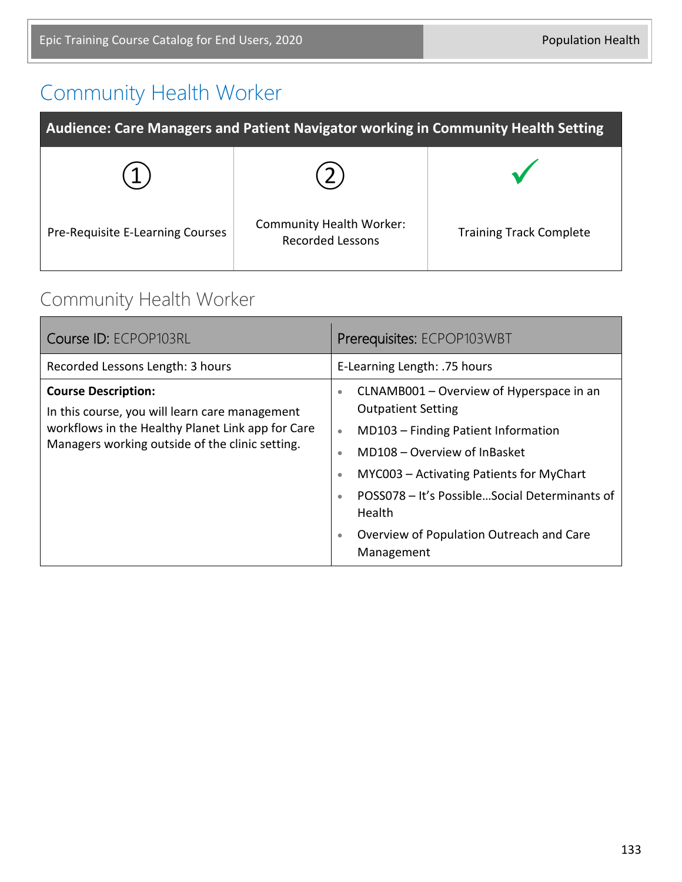## Community Health Worker

| Audience: Care Managers and Patient Navigator working in Community Health Setting |                                                            |                                |
|-----------------------------------------------------------------------------------|------------------------------------------------------------|--------------------------------|
|                                                                                   |                                                            |                                |
| Pre-Requisite E-Learning Courses                                                  | <b>Community Health Worker:</b><br><b>Recorded Lessons</b> | <b>Training Track Complete</b> |

#### Community Health Worker

| Course ID: ECPOP103RL                                                                                                                                                                | Prerequisites: ECPOP103WBT                                                                                                                                                                                                                                                                                                                                                                         |
|--------------------------------------------------------------------------------------------------------------------------------------------------------------------------------------|----------------------------------------------------------------------------------------------------------------------------------------------------------------------------------------------------------------------------------------------------------------------------------------------------------------------------------------------------------------------------------------------------|
| Recorded Lessons Length: 3 hours                                                                                                                                                     | E-Learning Length: .75 hours                                                                                                                                                                                                                                                                                                                                                                       |
| <b>Course Description:</b><br>In this course, you will learn care management<br>workflows in the Healthy Planet Link app for Care<br>Managers working outside of the clinic setting. | CLNAMB001 – Overview of Hyperspace in an<br>$\bullet$<br><b>Outpatient Setting</b><br>MD103 - Finding Patient Information<br>$\bullet$<br>MD108 - Overview of InBasket<br>$\bullet$<br>MYC003 - Activating Patients for MyChart<br>$\bullet$<br>POSS078 - It's PossibleSocial Determinants of<br>$\bullet$<br><b>Health</b><br>Overview of Population Outreach and Care<br>$\bullet$<br>Management |